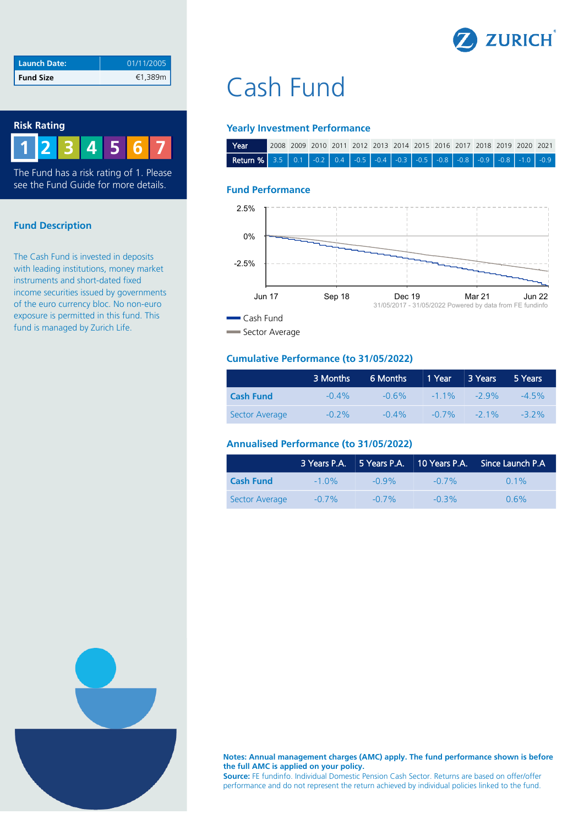

| <b>Launch Date:</b> | 01/11/2005 |
|---------------------|------------|
| <b>Fund Size</b>    | €1,389m    |

## **Risk Rating 2 3 4 5 6 7 1**

The Fund has a risk rating of 1. Please see the Fund Guide for more details.

### **Fund Description**

The Cash Fund is invested in deposits with leading institutions, money market instruments and short-dated fixed income securities issued by governments of the euro currency bloc. No non-euro exposure is permitted in this fund. This fund is managed by Zurich Life.

# Cash Fund

#### **Yearly Investment Performance**

| l Year                                                               |  |  |  |  |  |  | (2008 2009 2010 2011 2012 2013 2014 2015 2016 2017 2018 2019 2020 2021 |  |
|----------------------------------------------------------------------|--|--|--|--|--|--|------------------------------------------------------------------------|--|
| Return % 3.5 0.1 0.2 0.4 0.5 0.4 0.3 0.5 0.5 0.8 0.8 0.9 0.8 0.8 0.9 |  |  |  |  |  |  |                                                                        |  |

#### **Fund Performance**



#### **Cumulative Performance (to 31/05/2022)**

|                  | 3 Months | 6 Months | 1 Year 73 Years |                 | 5 Years  |
|------------------|----------|----------|-----------------|-----------------|----------|
| <b>Cash Fund</b> | $-0.4\%$ | $-0.6\%$ |                 | $-11\%$ $-29\%$ | $-4.5\%$ |
| Sector Average   | $-0.2\%$ | $-0.4\%$ | $-0.7\%$        | $-21\%$         | $-32\%$  |

### **Annualised Performance (to 31/05/2022)**

|                  | 3 Years P.A. 5 Years P.A. |          | 10 Years P.A. | $\parallel$ Since Launch P.A. |
|------------------|---------------------------|----------|---------------|-------------------------------|
| <b>Cash Fund</b> | $-1.0\%$                  | $-0.9\%$ | $-0.7\%$      | $0.1\%$                       |
| Sector Average   | $-0.7\%$                  | $-0.7\%$ | $-0.3\%$      | $0.6\%$                       |



**Notes: Annual management charges (AMC) apply. The fund performance shown is before the full AMC is applied on your policy.** 

**Source:** FE fundinfo. Individual Domestic Pension Cash Sector. Returns are based on offer/offer performance and do not represent the return achieved by individual policies linked to the fund.